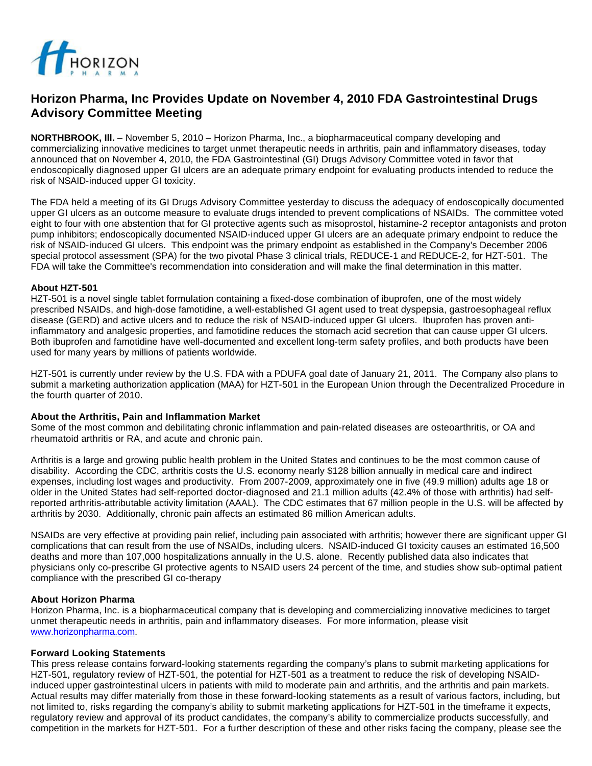

# **Horizon Pharma, Inc Provides Update on November 4, 2010 FDA Gastrointestinal Drugs Advisory Committee Meeting**

**NORTHBROOK, III.** – November 5, 2010 – Horizon Pharma, Inc., a biopharmaceutical company developing and commercializing innovative medicines to target unmet therapeutic needs in arthritis, pain and inflammatory diseases, today announced that on November 4, 2010, the FDA Gastrointestinal (GI) Drugs Advisory Committee voted in favor that endoscopically diagnosed upper GI ulcers are an adequate primary endpoint for evaluating products intended to reduce the risk of NSAID-induced upper GI toxicity.

The FDA held a meeting of its GI Drugs Advisory Committee yesterday to discuss the adequacy of endoscopically documented upper GI ulcers as an outcome measure to evaluate drugs intended to prevent complications of NSAIDs. The committee voted eight to four with one abstention that for GI protective agents such as misoprostol, histamine-2 receptor antagonists and proton pump inhibitors; endoscopically documented NSAID-induced upper GI ulcers are an adequate primary endpoint to reduce the risk of NSAID-induced GI ulcers. This endpoint was the primary endpoint as established in the Company's December 2006 special protocol assessment (SPA) for the two pivotal Phase 3 clinical trials, REDUCE-1 and REDUCE-2, for HZT-501. The FDA will take the Committee's recommendation into consideration and will make the final determination in this matter.

### **About HZT-501**

HZT-501 is a novel single tablet formulation containing a fixed-dose combination of ibuprofen, one of the most widely prescribed NSAIDs, and high-dose famotidine, a well-established GI agent used to treat dyspepsia, gastroesophageal reflux disease (GERD) and active ulcers and to reduce the risk of NSAID-induced upper GI ulcers. Ibuprofen has proven antiinflammatory and analgesic properties, and famotidine reduces the stomach acid secretion that can cause upper GI ulcers. Both ibuprofen and famotidine have well-documented and excellent long-term safety profiles, and both products have been used for many years by millions of patients worldwide.

HZT-501 is currently under review by the U.S. FDA with a PDUFA goal date of January 21, 2011. The Company also plans to submit a marketing authorization application (MAA) for HZT-501 in the European Union through the Decentralized Procedure in the fourth quarter of 2010.

#### **About the Arthritis, Pain and Inflammation Market**

Some of the most common and debilitating chronic inflammation and pain-related diseases are osteoarthritis, or OA and rheumatoid arthritis or RA, and acute and chronic pain.

Arthritis is a large and growing public health problem in the United States and continues to be the most common cause of disability. According the CDC, arthritis costs the U.S. economy nearly \$128 billion annually in medical care and indirect expenses, including lost wages and productivity. From 2007-2009, approximately one in five (49.9 million) adults age 18 or older in the United States had self-reported doctor-diagnosed and 21.1 million adults (42.4% of those with arthritis) had selfreported arthritis-attributable activity limitation (AAAL). The CDC estimates that 67 million people in the U.S. will be affected by arthritis by 2030. Additionally, chronic pain affects an estimated 86 million American adults.

NSAIDs are very effective at providing pain relief, including pain associated with arthritis; however there are significant upper GI complications that can result from the use of NSAIDs, including ulcers. NSAID-induced GI toxicity causes an estimated 16,500 deaths and more than 107,000 hospitalizations annually in the U.S. alone. Recently published data also indicates that physicians only co-prescribe GI protective agents to NSAID users 24 percent of the time, and studies show sub-optimal patient compliance with the prescribed GI co-therapy

## **About Horizon Pharma**

Horizon Pharma, Inc. is a biopharmaceutical company that is developing and commercializing innovative medicines to target unmet therapeutic needs in arthritis, pain and inflammatory diseases. For more information, please visit [www.horizonpharma.com](http://www.horizonpharma.com/).

## **Forward Looking Statements**

This press release contains forward-looking statements regarding the company's plans to submit marketing applications for HZT-501, regulatory review of HZT-501, the potential for HZT-501 as a treatment to reduce the risk of developing NSAIDinduced upper gastrointestinal ulcers in patients with mild to moderate pain and arthritis, and the arthritis and pain markets. Actual results may differ materially from those in these forward-looking statements as a result of various factors, including, but not limited to, risks regarding the company's ability to submit marketing applications for HZT-501 in the timeframe it expects, regulatory review and approval of its product candidates, the company's ability to commercialize products successfully, and competition in the markets for HZT-501. For a further description of these and other risks facing the company, please see the